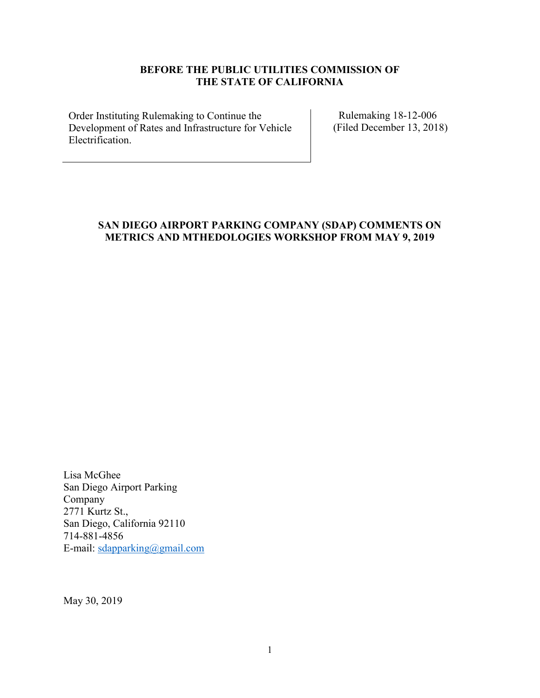# **BEFORE THE PUBLIC UTILITIES COMMISSION OF THE STATE OF CALIFORNIA**

Order Instituting Rulemaking to Continue the Development of Rates and Infrastructure for Vehicle Electrification.

Rulemaking 18-12-006 (Filed December 13, 2018)

# **SAN DIEGO AIRPORT PARKING COMPANY (SDAP) COMMENTS ON METRICS AND MTHEDOLOGIES WORKSHOP FROM MAY 9, 2019**

Lisa McGhee San Diego Airport Parking Company 2771 Kurtz St., San Diego, California 92110 714-881-4856 E-mail: sdapparking@gmail.com

May 30, 2019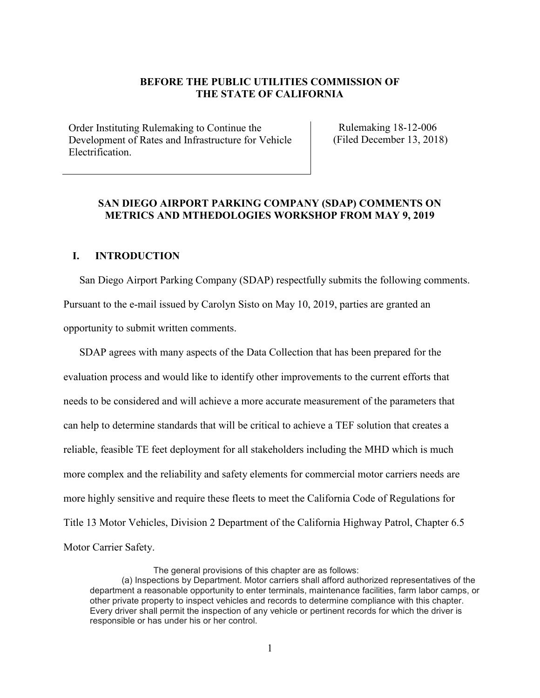#### **BEFORE THE PUBLIC UTILITIES COMMISSION OF THE STATE OF CALIFORNIA**

Order Instituting Rulemaking to Continue the Development of Rates and Infrastructure for Vehicle Electrification.

Rulemaking 18-12-006 (Filed December 13, 2018)

#### **SAN DIEGO AIRPORT PARKING COMPANY (SDAP) COMMENTS ON METRICS AND MTHEDOLOGIES WORKSHOP FROM MAY 9, 2019**

#### **I. INTRODUCTION**

San Diego Airport Parking Company (SDAP) respectfully submits the following comments. Pursuant to the e-mail issued by Carolyn Sisto on May 10, 2019, parties are granted an opportunity to submit written comments.

SDAP agrees with many aspects of the Data Collection that has been prepared for the evaluation process and would like to identify other improvements to the current efforts that needs to be considered and will achieve a more accurate measurement of the parameters that can help to determine standards that will be critical to achieve a TEF solution that creates a reliable, feasible TE feet deployment for all stakeholders including the MHD which is much more complex and the reliability and safety elements for commercial motor carriers needs are more highly sensitive and require these fleets to meet the California Code of Regulations for Title 13 Motor Vehicles, Division 2 Department of the California Highway Patrol, Chapter 6.5 Motor Carrier Safety.

The general provisions of this chapter are as follows:

<sup>(</sup>a) Inspections by Department. Motor carriers shall afford authorized representatives of the department a reasonable opportunity to enter terminals, maintenance facilities, farm labor camps, or other private property to inspect vehicles and records to determine compliance with this chapter. Every driver shall permit the inspection of any vehicle or pertinent records for which the driver is responsible or has under his or her control.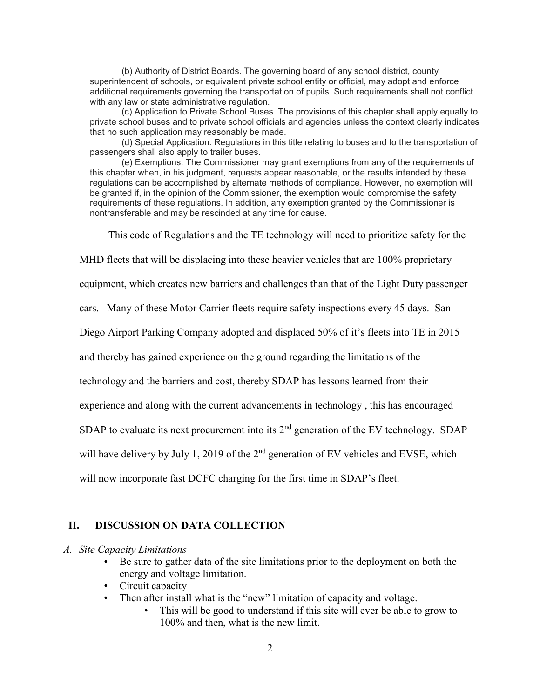(b) Authority of District Boards. The governing board of any school district, county superintendent of schools, or equivalent private school entity or official, may adopt and enforce additional requirements governing the transportation of pupils. Such requirements shall not conflict with any law or state administrative regulation.

(c) Application to Private School Buses. The provisions of this chapter shall apply equally to private school buses and to private school officials and agencies unless the context clearly indicates that no such application may reasonably be made.

(d) Special Application. Regulations in this title relating to buses and to the transportation of passengers shall also apply to trailer buses.

(e) Exemptions. The Commissioner may grant exemptions from any of the requirements of this chapter when, in his judgment, requests appear reasonable, or the results intended by these regulations can be accomplished by alternate methods of compliance. However, no exemption will be granted if, in the opinion of the Commissioner, the exemption would compromise the safety requirements of these regulations. In addition, any exemption granted by the Commissioner is nontransferable and may be rescinded at any time for cause.

This code of Regulations and the TE technology will need to prioritize safety for the

MHD fleets that will be displacing into these heavier vehicles that are 100% proprietary

equipment, which creates new barriers and challenges than that of the Light Duty passenger

cars. Many of these Motor Carrier fleets require safety inspections every 45 days. San

Diego Airport Parking Company adopted and displaced 50% of it's fleets into TE in 2015

and thereby has gained experience on the ground regarding the limitations of the

technology and the barriers and cost, thereby SDAP has lessons learned from their

experience and along with the current advancements in technology , this has encouraged

SDAP to evaluate its next procurement into its  $2<sup>nd</sup>$  generation of the EV technology. SDAP

will have delivery by July 1, 2019 of the  $2<sup>nd</sup>$  generation of EV vehicles and EVSE, which

will now incorporate fast DCFC charging for the first time in SDAP's fleet.

#### **II. DISCUSSION ON DATA COLLECTION**

#### *A. Site Capacity Limitations*

- Be sure to gather data of the site limitations prior to the deployment on both the energy and voltage limitation.
- Circuit capacity
- Then after install what is the "new" limitation of capacity and voltage.
	- This will be good to understand if this site will ever be able to grow to 100% and then, what is the new limit.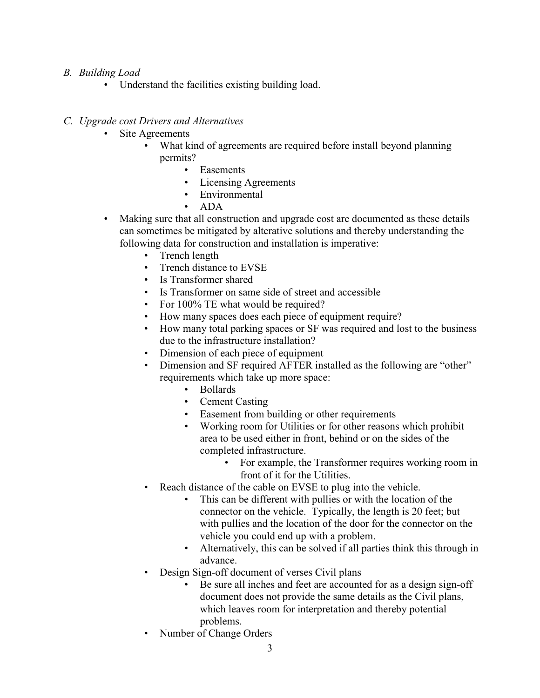# *B. Building Load*

• Understand the facilities existing building load.

### *C. Upgrade cost Drivers and Alternatives*

- Site Agreements
	- What kind of agreements are required before install beyond planning permits?
		- Easements
		- Licensing Agreements
		- Environmental
		- ADA
- Making sure that all construction and upgrade cost are documented as these details can sometimes be mitigated by alterative solutions and thereby understanding the following data for construction and installation is imperative:
	- Trench length
	- Trench distance to EVSE
	- Is Transformer shared
	- Is Transformer on same side of street and accessible
	- For 100% TE what would be required?
	- How many spaces does each piece of equipment require?
	- How many total parking spaces or SF was required and lost to the business due to the infrastructure installation?
	- Dimension of each piece of equipment
	- Dimension and SF required AFTER installed as the following are "other" requirements which take up more space:
		- Bollards
		- Cement Casting
		- Easement from building or other requirements
		- Working room for Utilities or for other reasons which prohibit area to be used either in front, behind or on the sides of the completed infrastructure.
			- For example, the Transformer requires working room in front of it for the Utilities.
	- Reach distance of the cable on EVSE to plug into the vehicle.
		- This can be different with pullies or with the location of the connector on the vehicle. Typically, the length is 20 feet; but with pullies and the location of the door for the connector on the vehicle you could end up with a problem.
		- Alternatively, this can be solved if all parties think this through in advance.
	- Design Sign-off document of verses Civil plans
		- Be sure all inches and feet are accounted for as a design sign-off document does not provide the same details as the Civil plans, which leaves room for interpretation and thereby potential problems.
	- Number of Change Orders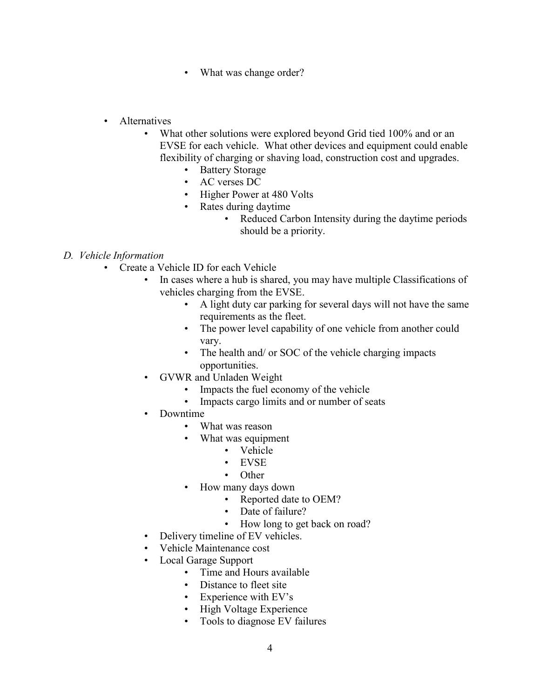- What was change order?
- Alternatives
	- What other solutions were explored beyond Grid tied 100% and or an EVSE for each vehicle. What other devices and equipment could enable flexibility of charging or shaving load, construction cost and upgrades.
		- Battery Storage
		- AC verses DC
		- Higher Power at 480 Volts
		- Rates during daytime
			- Reduced Carbon Intensity during the daytime periods should be a priority.

### *D. Vehicle Information*

- Create a Vehicle ID for each Vehicle
	- In cases where a hub is shared, you may have multiple Classifications of vehicles charging from the EVSE.
		- A light duty car parking for several days will not have the same requirements as the fleet.
		- The power level capability of one vehicle from another could vary.
		- The health and/ or SOC of the vehicle charging impacts opportunities.
	- GVWR and Unladen Weight
		- Impacts the fuel economy of the vehicle
		- Impacts cargo limits and or number of seats
	- Downtime
		- What was reason
		- What was equipment
			- Vehicle
			- EVSE
			- Other
		- How many days down
			- Reported date to OEM?
			- Date of failure?
			- How long to get back on road?
	- Delivery timeline of EV vehicles.
	- Vehicle Maintenance cost
	- Local Garage Support
		- Time and Hours available
		- Distance to fleet site
		- Experience with EV's
		- High Voltage Experience
		- Tools to diagnose EV failures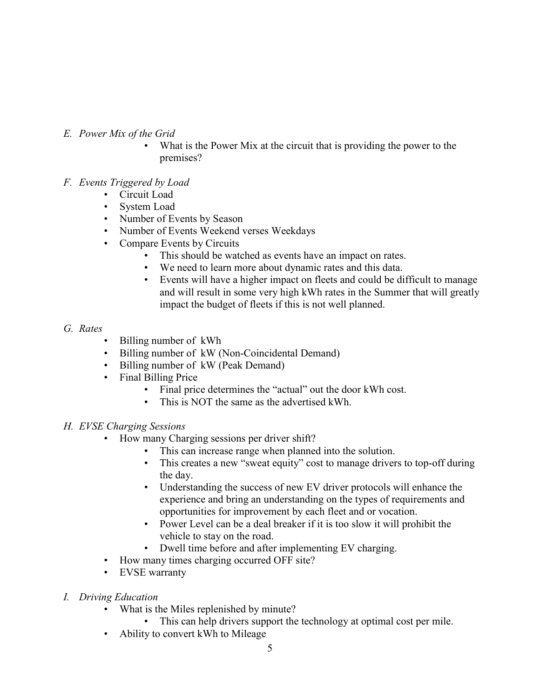# *E. Power Mix of the Grid*

What is the Power Mix at the circuit that is providing the power to the premises?

# *F. Events Triggered by Load*

- Circuit Load
- System Load
- Number of Events by Season
- Number of Events Weekend verses Weekdays
- Compare Events by Circuits
	- This should be watched as events have an impact on rates.
	- We need to learn more about dynamic rates and this data.
	- Events will have a higher impact on fleets and could be difficult to manage and will result in some very high kWh rates in the Summer that will greatly impact the budget of fleets if this is not well planned.

### *G. Rates*

- Billing number of kWh
- Billing number of kW (Non-Coincidental Demand)
- Billing number of kW (Peak Demand)
- Final Billing Price
	- Final price determines the "actual" out the door kWh cost.
	- This is NOT the same as the advertised kWh.

# *H. EVSE Charging Sessions*

- How many Charging sessions per driver shift?
	- This can increase range when planned into the solution.
	- This creates a new "sweat equity" cost to manage drivers to top-off during the day.
	- Understanding the success of new EV driver protocols will enhance the experience and bring an understanding on the types of requirements and opportunities for improvement by each fleet and or vocation.
	- Power Level can be a deal breaker if it is too slow it will prohibit the vehicle to stay on the road.
	- Dwell time before and after implementing EV charging.
- How many times charging occurred OFF site?
- EVSE warranty
- *I. Driving Education*
	- What is the Miles replenished by minute?
		- This can help drivers support the technology at optimal cost per mile.
	- Ability to convert kWh to Mileage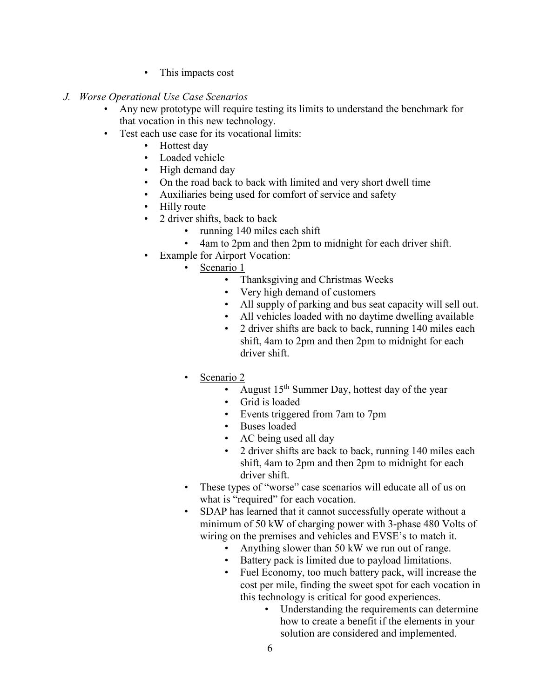- This impacts cost
- *J. Worse Operational Use Case Scenarios*
	- Any new prototype will require testing its limits to understand the benchmark for that vocation in this new technology.
	- Test each use case for its vocational limits:
		- Hottest day
		- Loaded vehicle
		- High demand day
		- On the road back to back with limited and very short dwell time
		- Auxiliaries being used for comfort of service and safety
		- Hilly route
		- 2 driver shifts, back to back
			- running 140 miles each shift
			- 4am to 2pm and then 2pm to midnight for each driver shift.
		- Example for Airport Vocation:
			- Scenario 1
				- Thanksgiving and Christmas Weeks
				- Very high demand of customers
				- All supply of parking and bus seat capacity will sell out.
				- All vehicles loaded with no daytime dwelling available
				- 2 driver shifts are back to back, running 140 miles each shift, 4am to 2pm and then 2pm to midnight for each driver shift.
			- Scenario 2
				- August  $15^{th}$  Summer Day, hottest day of the year
				- Grid is loaded
				- Events triggered from 7am to 7pm
				- Buses loaded
				- AC being used all day
				- 2 driver shifts are back to back, running 140 miles each shift, 4am to 2pm and then 2pm to midnight for each driver shift.
			- These types of "worse" case scenarios will educate all of us on what is "required" for each vocation.
			- SDAP has learned that it cannot successfully operate without a minimum of 50 kW of charging power with 3-phase 480 Volts of wiring on the premises and vehicles and EVSE's to match it.
				- Anything slower than 50 kW we run out of range.
				- Battery pack is limited due to payload limitations.
				- Fuel Economy, too much battery pack, will increase the cost per mile, finding the sweet spot for each vocation in this technology is critical for good experiences.
					- Understanding the requirements can determine how to create a benefit if the elements in your solution are considered and implemented.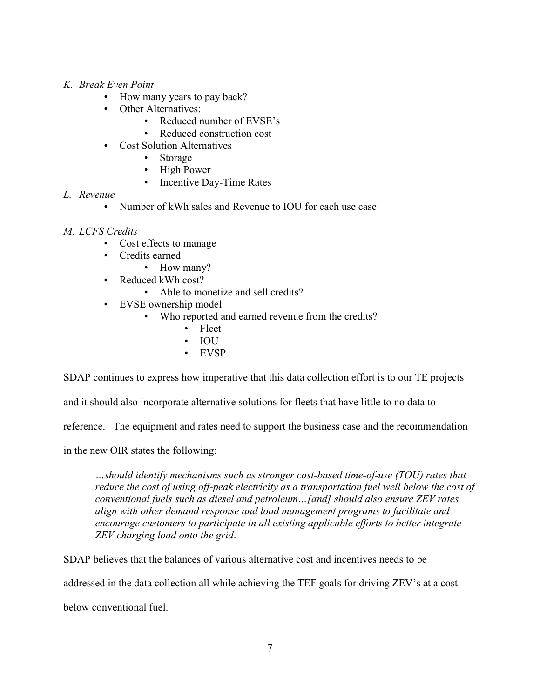- *K. Break Even Point*
	- How many years to pay back?
		- Other Alternatives:
			- Reduced number of EVSE's
			- Reduced construction cost
	- Cost Solution Alternatives
		- Storage
		- High Power
		- Incentive Day-Time Rates
- *L. Revenue*
	- Number of kWh sales and Revenue to IOU for each use case
- *M. LCFS Credits*
	- Cost effects to manage
	- Credits earned
		- How many?
	- Reduced kWh cost?
		- Able to monetize and sell credits?
	- EVSE ownership model
		- Who reported and earned revenue from the credits?
			- Fleet
			- IOU
			- EVSP

SDAP continues to express how imperative that this data collection effort is to our TE projects

and it should also incorporate alternative solutions for fleets that have little to no data to

reference. The equipment and rates need to support the business case and the recommendation

in the new OIR states the following:

*…should identify mechanisms such as stronger cost-based time-of-use (TOU) rates that*  reduce the cost of using off-peak electricity as a transportation fuel well below the cost of *conventional fuels such as diesel and petroleum…[and] should also ensure ZEV rates align with other demand response and load management programs to facilitate and encourage customers to participate in all existing applicable efforts to better integrate ZEV charging load onto the grid*.

SDAP believes that the balances of various alternative cost and incentives needs to be

addressed in the data collection all while achieving the TEF goals for driving ZEV's at a cost

below conventional fuel.